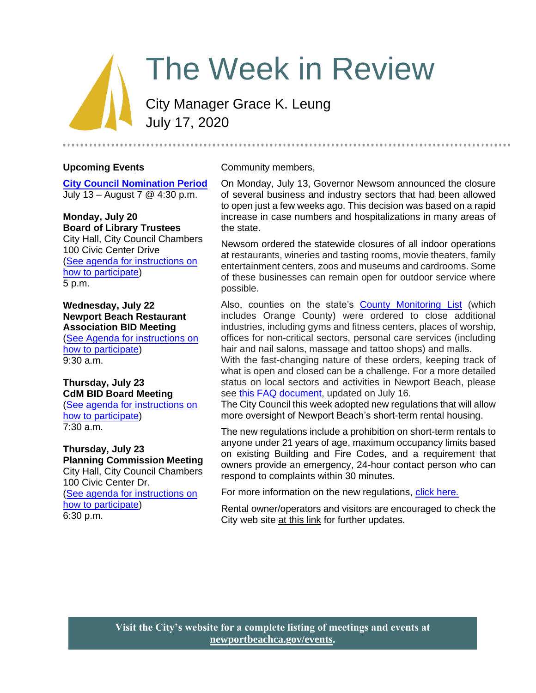# The Week in Review

City Manager Grace K. Leung July 17, 2020

### **Upcoming Events**

**[City Council Nomination Period](https://newportbeachca.gov/government/departments/city-clerk/general-municipal-election-november-3-2020)** July 13 – August 7 @ 4:30 p.m.

#### **Monday, July 20 Board of Library Trustees**

City Hall, City Council Chambers 100 Civic Center Drive [\(See agenda for instructions on](https://newportbeachca.gov/Home/Components/Calendar/Event/63651/72) [how to participate\)](https://newportbeachca.gov/Home/Components/Calendar/Event/63651/72) 5 p.m.

### **Wednesday, July 22 Newport Beach Restaurant Association BID Meeting**

[\(See Agenda for instructions on](https://newportbeachca.gov/Home/Components/Calendar/Event/63913/72) [how to participate\)](https://newportbeachca.gov/Home/Components/Calendar/Event/63913/72) 9:30 a.m.

#### **Thursday, July 23 CdM BID Board Meeting**

[\(See agenda for instructions on](https://newportbeachca.gov/Home/Components/Calendar/Event/63915/72) [how to participate\)](https://newportbeachca.gov/Home/Components/Calendar/Event/63915/72) 7:30 a.m.

# **Thursday, July 23**

**Planning Commission Meeting**  City Hall, City Council Chambers 100 Civic Center Dr. [\(See agenda for instructions on](https://newportbeachca.gov/Home/Components/Calendar/Event/60111/72) [how to participate\)](https://newportbeachca.gov/Home/Components/Calendar/Event/60111/72) 6:30 p.m.

#### Community members,

On Monday, July 13, Governor Newsom announced the closure of several business and industry sectors that had been allowed to open just a few weeks ago. This decision was based on a rapid increase in case numbers and hospitalizations in many areas of the state.

Newsom ordered the statewide closures of all indoor operations at restaurants, wineries and tasting rooms, movie theaters, family entertainment centers, zoos and museums and cardrooms. Some of these businesses can remain open for outdoor service where possible.

Also, counties on the state's [County Monitoring List](https://www.cdph.ca.gov/Programs/CID/DCDC/Pages/COVID-19/COVID19CountyMonitoringOverview.aspx) (which includes Orange County) were ordered to close additional industries, including gyms and fitness centers, places of worship, offices for non-critical sectors, personal care services (including hair and nail salons, massage and tattoo shops) and malls.

With the fast-changing nature of these orders, keeping track of what is open and closed can be a challenge. For a more detailed status on local sectors and activities in Newport Beach, please see [this FAQ document,](https://www.newportbeachca.gov/home/showdocument?id=67265) updated on July 16.

The City Council this week adopted new regulations that will allow more oversight of Newport Beach's short-term rental housing.

The new regulations include a prohibition on short-term rentals to anyone under 21 years of age, maximum occupancy limits based on existing Building and Fire Codes, and a requirement that owners provide an emergency, 24-hour contact person who can respond to complaints within 30 minutes.

For more information on the new regulations, [click here.](https://www.newportbeachca.gov/Home/Components/News/News/38446/2720)

Rental owner/operators and visitors are encouraged to check the City web site [at this link](https://www.newportbeachca.gov/government/departments/finance/revenue-division/short-term-rentals) for further updates.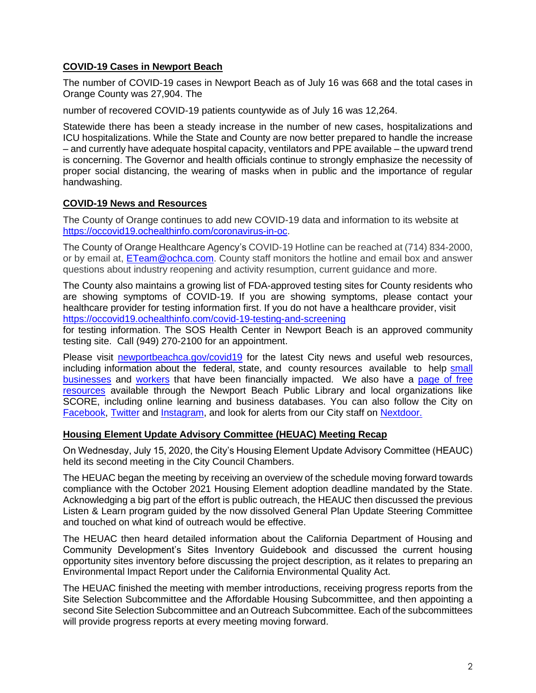# **COVID-19 Cases in Newport Beach**

The number of COVID-19 cases in Newport Beach as of July 16 was 668 and the total cases in Orange County was 27,904. The

number of recovered COVID-19 patients countywide as of July 16 was 12,264.

Statewide there has been a steady increase in the number of new cases, hospitalizations and ICU hospitalizations. While the State and County are now better prepared to handle the increase – and currently have adequate hospital capacity, ventilators and PPE available – the upward trend is concerning. The Governor and health officials continue to strongly emphasize the necessity of proper social distancing, the wearing of masks when in public and the importance of regular handwashing.

#### **COVID-19 News and Resources**

The County of Orange continues to add new COVID-19 data and information to its website at [https://occovid19.ochealthinfo.com/coronavirus-in-oc.](https://occovid19.ochealthinfo.com/coronavirus-in-oc)

The County of Orange Healthcare Agency's COVID-19 Hotline can be reached at (714) 834-2000, or by email at, [ETeam@ochca.com.](mailto:ETeam@ochca.com) County staff monitors the hotline and email box and answer questions about industry reopening and activity resumption, current guidance and more.

The County also maintains a growing list of FDA-approved testing sites for County residents who are showing symptoms of COVID-19. If you are showing symptoms, please contact your healthcare provider for testing information first. If you do not have a healthcare provider, visit <https://occovid19.ochealthinfo.com/covid-19-testing-and-screening>

for testing information. The SOS Health Center in Newport Beach is an approved community testing site. Call (949) 270-2100 for an appointment.

Please visit [newportbeachca.gov/covid19](https://www.newportbeachca.gov/how-do-i/find/disaster-preparedness-information/disease-outbreak/-fsiteid-1) for the latest City news and useful web resources, including information about the federal, state, and county resources available to help [small](https://www.newportbeachca.gov/government/departments/city-manager/economic-development/small-business-support) [businesses](https://www.newportbeachca.gov/government/departments/city-manager/economic-development/small-business-support) and [workers](https://www.newportbeachca.gov/government/departments/city-manager/economic-development/support-for-employees) that have been financially impacted. We also have a [page of free](https://www.newportbeachca.gov/government/departments/city-manager/economic-development/small-business-support/business-employee-resources)  [resources](https://www.newportbeachca.gov/government/departments/city-manager/economic-development/small-business-support/business-employee-resources) available through the Newport Beach Public Library and local organizations like SCORE, including online learning and business databases. You can also follow the City on [Facebook,](https://www.facebook.com/pg/CityofNewportBeach) [Twitter](https://twitter.com/newportbeachgov) and [Instagram,](https://www.instagram.com/cityofnewportbeach/) and look for alerts from our City staff on [Nextdoor.](https://nextdoor.com/agency/city-of-newport-beach/?i=ltdytbjdbdkntfqttgcm)

#### **Housing Element Update Advisory Committee (HEUAC) Meeting Recap**

On Wednesday, July 15, 2020, the City's Housing Element Update Advisory Committee (HEAUC) held its second meeting in the City Council Chambers.

The HEUAC began the meeting by receiving an overview of the schedule moving forward towards compliance with the October 2021 Housing Element adoption deadline mandated by the State. Acknowledging a big part of the effort is public outreach, the HEAUC then discussed the previous Listen & Learn program guided by the now dissolved General Plan Update Steering Committee and touched on what kind of outreach would be effective.

The HEUAC then heard detailed information about the California Department of Housing and Community Development's Sites Inventory Guidebook and discussed the current housing opportunity sites inventory before discussing the project description, as it relates to preparing an Environmental Impact Report under the California Environmental Quality Act.

The HEUAC finished the meeting with member introductions, receiving progress reports from the Site Selection Subcommittee and the Affordable Housing Subcommittee, and then appointing a second Site Selection Subcommittee and an Outreach Subcommittee. Each of the subcommittees will provide progress reports at every meeting moving forward.